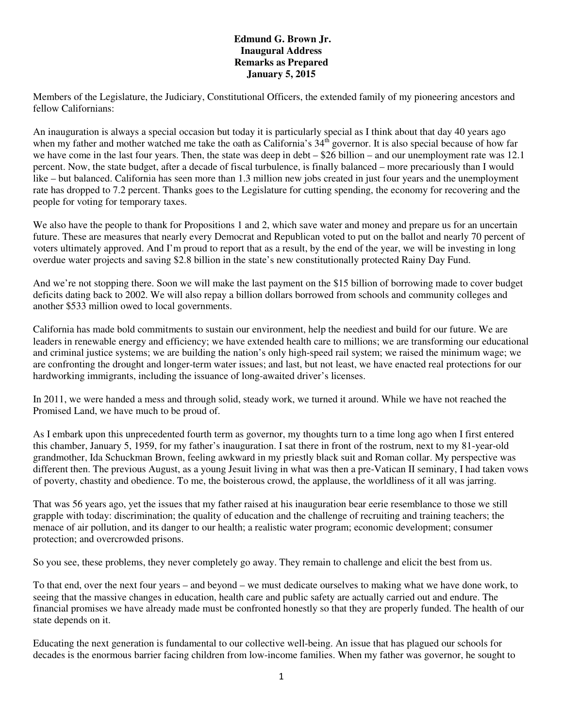## **Edmund G. Brown Jr. Inaugural Address Remarks as Prepared January 5, 2015**

Members of the Legislature, the Judiciary, Constitutional Officers, the extended family of my pioneering ancestors and fellow Californians:

An inauguration is always a special occasion but today it is particularly special as I think about that day 40 years ago when my father and mother watched me take the oath as California's  $34<sup>th</sup>$  governor. It is also special because of how far we have come in the last four years. Then, the state was deep in debt – \$26 billion – and our unemployment rate was 12.1 percent. Now, the state budget, after a decade of fiscal turbulence, is finally balanced – more precariously than I would like – but balanced. California has seen more than 1.3 million new jobs created in just four years and the unemployment rate has dropped to 7.2 percent. Thanks goes to the Legislature for cutting spending, the economy for recovering and the people for voting for temporary taxes.

We also have the people to thank for Propositions 1 and 2, which save water and money and prepare us for an uncertain future. These are measures that nearly every Democrat and Republican voted to put on the ballot and nearly 70 percent of voters ultimately approved. And I'm proud to report that as a result, by the end of the year, we will be investing in long overdue water projects and saving \$2.8 billion in the state's new constitutionally protected Rainy Day Fund.

And we're not stopping there. Soon we will make the last payment on the \$15 billion of borrowing made to cover budget deficits dating back to 2002. We will also repay a billion dollars borrowed from schools and community colleges and another \$533 million owed to local governments.

California has made bold commitments to sustain our environment, help the neediest and build for our future. We are leaders in renewable energy and efficiency; we have extended health care to millions; we are transforming our educational and criminal justice systems; we are building the nation's only high-speed rail system; we raised the minimum wage; we are confronting the drought and longer-term water issues; and last, but not least, we have enacted real protections for our hardworking immigrants, including the issuance of long-awaited driver's licenses.

In 2011, we were handed a mess and through solid, steady work, we turned it around. While we have not reached the Promised Land, we have much to be proud of.

As I embark upon this unprecedented fourth term as governor, my thoughts turn to a time long ago when I first entered this chamber, January 5, 1959, for my father's inauguration. I sat there in front of the rostrum, next to my 81-year-old grandmother, Ida Schuckman Brown, feeling awkward in my priestly black suit and Roman collar. My perspective was different then. The previous August, as a young Jesuit living in what was then a pre-Vatican II seminary, I had taken vows of poverty, chastity and obedience. To me, the boisterous crowd, the applause, the worldliness of it all was jarring.

That was 56 years ago, yet the issues that my father raised at his inauguration bear eerie resemblance to those we still grapple with today: discrimination; the quality of education and the challenge of recruiting and training teachers; the menace of air pollution, and its danger to our health; a realistic water program; economic development; consumer protection; and overcrowded prisons.

So you see, these problems, they never completely go away. They remain to challenge and elicit the best from us.

To that end, over the next four years – and beyond – we must dedicate ourselves to making what we have done work, to seeing that the massive changes in education, health care and public safety are actually carried out and endure. The financial promises we have already made must be confronted honestly so that they are properly funded. The health of our state depends on it.

Educating the next generation is fundamental to our collective well-being. An issue that has plagued our schools for decades is the enormous barrier facing children from low-income families. When my father was governor, he sought to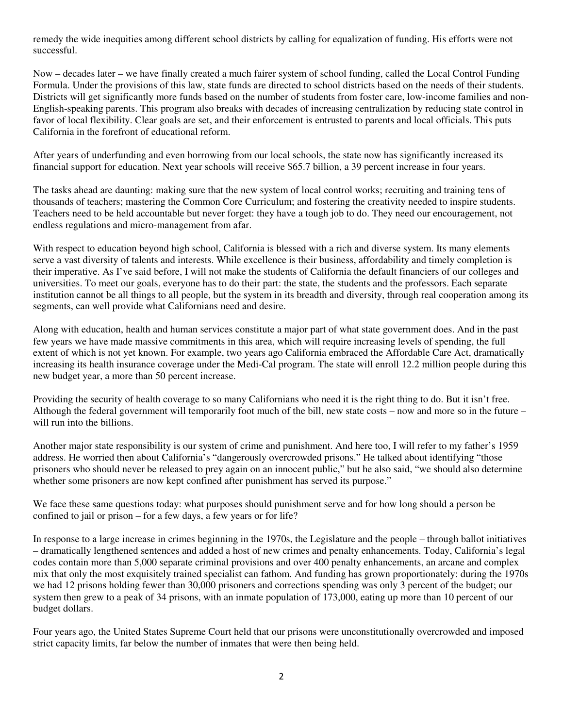remedy the wide inequities among different school districts by calling for equalization of funding. His efforts were not successful.

Now – decades later – we have finally created a much fairer system of school funding, called the Local Control Funding Formula. Under the provisions of this law, state funds are directed to school districts based on the needs of their students. Districts will get significantly more funds based on the number of students from foster care, low-income families and non-English-speaking parents. This program also breaks with decades of increasing centralization by reducing state control in favor of local flexibility. Clear goals are set, and their enforcement is entrusted to parents and local officials. This puts California in the forefront of educational reform.

After years of underfunding and even borrowing from our local schools, the state now has significantly increased its financial support for education. Next year schools will receive \$65.7 billion, a 39 percent increase in four years.

The tasks ahead are daunting: making sure that the new system of local control works; recruiting and training tens of thousands of teachers; mastering the Common Core Curriculum; and fostering the creativity needed to inspire students. Teachers need to be held accountable but never forget: they have a tough job to do. They need our encouragement, not endless regulations and micro-management from afar.

With respect to education beyond high school, California is blessed with a rich and diverse system. Its many elements serve a vast diversity of talents and interests. While excellence is their business, affordability and timely completion is their imperative. As I've said before, I will not make the students of California the default financiers of our colleges and universities. To meet our goals, everyone has to do their part: the state, the students and the professors. Each separate institution cannot be all things to all people, but the system in its breadth and diversity, through real cooperation among its segments, can well provide what Californians need and desire.

Along with education, health and human services constitute a major part of what state government does. And in the past few years we have made massive commitments in this area, which will require increasing levels of spending, the full extent of which is not yet known. For example, two years ago California embraced the Affordable Care Act, dramatically increasing its health insurance coverage under the Medi-Cal program. The state will enroll 12.2 million people during this new budget year, a more than 50 percent increase.

Providing the security of health coverage to so many Californians who need it is the right thing to do. But it isn't free. Although the federal government will temporarily foot much of the bill, new state costs – now and more so in the future – will run into the billions.

Another major state responsibility is our system of crime and punishment. And here too, I will refer to my father's 1959 address. He worried then about California's "dangerously overcrowded prisons." He talked about identifying "those prisoners who should never be released to prey again on an innocent public," but he also said, "we should also determine whether some prisoners are now kept confined after punishment has served its purpose."

We face these same questions today: what purposes should punishment serve and for how long should a person be confined to jail or prison – for a few days, a few years or for life?

In response to a large increase in crimes beginning in the 1970s, the Legislature and the people – through ballot initiatives – dramatically lengthened sentences and added a host of new crimes and penalty enhancements. Today, California's legal codes contain more than 5,000 separate criminal provisions and over 400 penalty enhancements, an arcane and complex mix that only the most exquisitely trained specialist can fathom. And funding has grown proportionately: during the 1970s we had 12 prisons holding fewer than 30,000 prisoners and corrections spending was only 3 percent of the budget; our system then grew to a peak of 34 prisons, with an inmate population of 173,000, eating up more than 10 percent of our budget dollars.

Four years ago, the United States Supreme Court held that our prisons were unconstitutionally overcrowded and imposed strict capacity limits, far below the number of inmates that were then being held.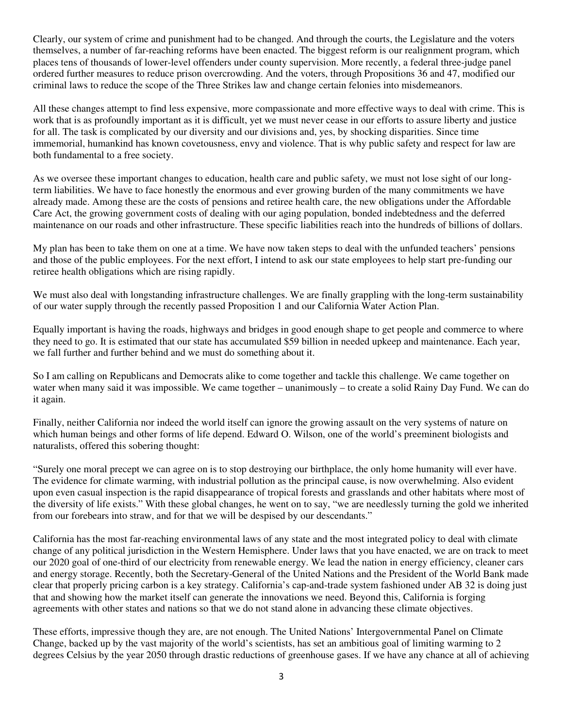Clearly, our system of crime and punishment had to be changed. And through the courts, the Legislature and the voters themselves, a number of far-reaching reforms have been enacted. The biggest reform is our realignment program, which places tens of thousands of lower-level offenders under county supervision. More recently, a federal three-judge panel ordered further measures to reduce prison overcrowding. And the voters, through Propositions 36 and 47, modified our criminal laws to reduce the scope of the Three Strikes law and change certain felonies into misdemeanors.

All these changes attempt to find less expensive, more compassionate and more effective ways to deal with crime. This is work that is as profoundly important as it is difficult, yet we must never cease in our efforts to assure liberty and justice for all. The task is complicated by our diversity and our divisions and, yes, by shocking disparities. Since time immemorial, humankind has known covetousness, envy and violence. That is why public safety and respect for law are both fundamental to a free society.

As we oversee these important changes to education, health care and public safety, we must not lose sight of our longterm liabilities. We have to face honestly the enormous and ever growing burden of the many commitments we have already made. Among these are the costs of pensions and retiree health care, the new obligations under the Affordable Care Act, the growing government costs of dealing with our aging population, bonded indebtedness and the deferred maintenance on our roads and other infrastructure. These specific liabilities reach into the hundreds of billions of dollars.

My plan has been to take them on one at a time. We have now taken steps to deal with the unfunded teachers' pensions and those of the public employees. For the next effort, I intend to ask our state employees to help start pre-funding our retiree health obligations which are rising rapidly.

We must also deal with longstanding infrastructure challenges. We are finally grappling with the long-term sustainability of our water supply through the recently passed Proposition 1 and our California Water Action Plan.

Equally important is having the roads, highways and bridges in good enough shape to get people and commerce to where they need to go. It is estimated that our state has accumulated \$59 billion in needed upkeep and maintenance. Each year, we fall further and further behind and we must do something about it.

So I am calling on Republicans and Democrats alike to come together and tackle this challenge. We came together on water when many said it was impossible. We came together – unanimously – to create a solid Rainy Day Fund. We can do it again.

Finally, neither California nor indeed the world itself can ignore the growing assault on the very systems of nature on which human beings and other forms of life depend. Edward O. Wilson, one of the world's preeminent biologists and naturalists, offered this sobering thought:

"Surely one moral precept we can agree on is to stop destroying our birthplace, the only home humanity will ever have. The evidence for climate warming, with industrial pollution as the principal cause, is now overwhelming. Also evident upon even casual inspection is the rapid disappearance of tropical forests and grasslands and other habitats where most of the diversity of life exists." With these global changes, he went on to say, "we are needlessly turning the gold we inherited from our forebears into straw, and for that we will be despised by our descendants."

California has the most far-reaching environmental laws of any state and the most integrated policy to deal with climate change of any political jurisdiction in the Western Hemisphere. Under laws that you have enacted, we are on track to meet our 2020 goal of one-third of our electricity from renewable energy. We lead the nation in energy efficiency, cleaner cars and energy storage. Recently, both the Secretary-General of the United Nations and the President of the World Bank made clear that properly pricing carbon is a key strategy. California's cap-and-trade system fashioned under AB 32 is doing just that and showing how the market itself can generate the innovations we need. Beyond this, California is forging agreements with other states and nations so that we do not stand alone in advancing these climate objectives.

These efforts, impressive though they are, are not enough. The United Nations' Intergovernmental Panel on Climate Change, backed up by the vast majority of the world's scientists, has set an ambitious goal of limiting warming to 2 degrees Celsius by the year 2050 through drastic reductions of greenhouse gases. If we have any chance at all of achieving